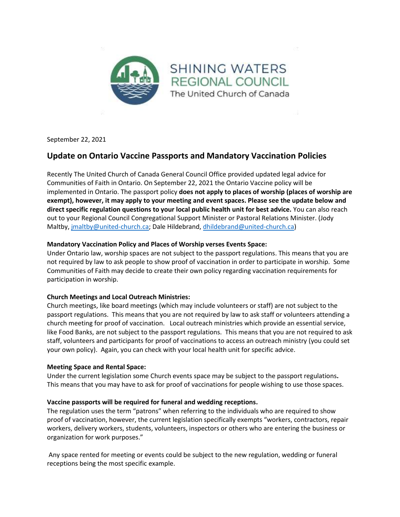

September 22, 2021

# **Update on Ontario Vaccine Passports and Mandatory Vaccination Policies**

Recently The United Church of Canada General Council Office provided updated legal advice for Communities of Faith in Ontario. On September 22, 2021 the Ontario Vaccine policy will be implemented in Ontario. The passport policy **does not apply to places of worship (places of worship are exempt), however, it may apply to your meeting and event spaces. Please see the update below and direct specific regulation questions to your local public health unit for best advice.** You can also reach out to your Regional Council Congregational Support Minister or Pastoral Relations Minister. (Jody Maltby, [jmaltby@united-church.ca;](mailto:jmaltby@united-church.ca) Dale Hildebrand[, dhildebrand@united-church.ca\)](mailto:dhildebrand@united-church.ca)

## **Mandatory Vaccination Policy and Places of Worship verses Events Space:**

Under Ontario law, worship spaces are not subject to the passport regulations. This means that you are not required by law to ask people to show proof of vaccination in order to participate in worship. Some Communities of Faith may decide to create their own policy regarding vaccination requirements for participation in worship.

## **Church Meetings and Local Outreach Ministries:**

Church meetings, like board meetings (which may include volunteers or staff) are not subject to the passport regulations. This means that you are not required by law to ask staff or volunteers attending a church meeting for proof of vaccination. Local outreach ministries which provide an essential service, like Food Banks, are not subject to the passport regulations. This means that you are not required to ask staff, volunteers and participants for proof of vaccinations to access an outreach ministry (you could set your own policy). Again, you can check with your local health unit for specific advice.

## **Meeting Space and Rental Space:**

Under the current legislation some Church events space may be subject to the passport regulations**.**  This means that you may have to ask for proof of vaccinations for people wishing to use those spaces.

## **Vaccine passports will be required for funeral and wedding receptions.**

The regulation uses the term "patrons" when referring to the individuals who are required to show proof of vaccination, however, the current legislation specifically exempts "workers, contractors, repair workers, delivery workers, students, volunteers, inspectors or others who are entering the business or organization for work purposes."

Any space rented for meeting or events could be subject to the new regulation, wedding or funeral receptions being the most specific example.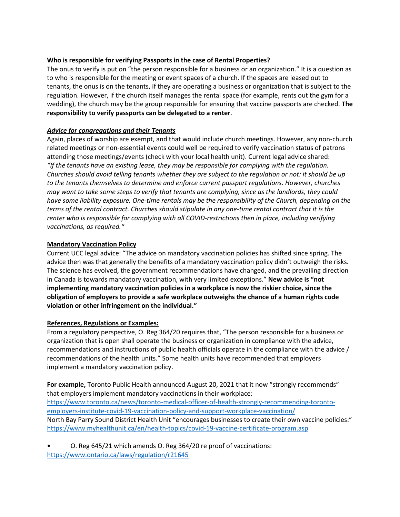#### **Who is responsible for verifying Passports in the case of Rental Properties?**

The onus to verify is put on "the person responsible for a business or an organization." It is a question as to who is responsible for the meeting or event spaces of a church. If the spaces are leased out to tenants, the onus is on the tenants, if they are operating a business or organization that is subject to the regulation. However, if the church itself manages the rental space (for example, rents out the gym for a wedding), the church may be the group responsible for ensuring that vaccine passports are checked. **The responsibility to verify passports can be delegated to a renter**.

#### *Advice for congregations and their Tenants*

Again, places of worship are exempt, and that would include church meetings. However, any non-church related meetings or non-essential events could well be required to verify vaccination status of patrons attending those meetings/events (check with your local health unit). Current legal advice shared: *"If the tenants have an existing lease, they may be responsible for complying with the regulation. Churches should avoid telling tenants whether they are subject to the regulation or not: it should be up to the tenants themselves to determine and enforce current passport regulations. However, churches may want to take some steps to verify that tenants are complying, since as the landlords, they could have some liability exposure. One-time rentals may be the responsibility of the Church, depending on the terms of the rental contract. Churches should stipulate in any one-time rental contract that it is the renter who is responsible for complying with all COVID-restrictions then in place, including verifying vaccinations, as required."*

#### **Mandatory Vaccination Policy**

Current UCC legal advice: "The advice on mandatory vaccination policies has shifted since spring. The advice then was that generally the benefits of a mandatory vaccination policy didn't outweigh the risks. The science has evolved, the government recommendations have changed, and the prevailing direction in Canada is towards mandatory vaccination, with very limited exceptions." **New advice is "not implementing mandatory vaccination policies in a workplace is now the riskier choice, since the obligation of employers to provide a safe workplace outweighs the chance of a human rights code violation or other infringement on the individual."**

#### **References, Regulations or Examples:**

From a regulatory perspective, O. Reg 364/20 requires that, "The person responsible for a business or organization that is open shall operate the business or organization in compliance with the advice, recommendations and instructions of public health officials operate in the compliance with the advice / recommendations of the health units." Some health units have recommended that employers implement a mandatory vaccination policy.

**For example,** Toronto Public Health announced August 20, 2021 that it now "strongly recommends" that employers implement mandatory vaccinations in their workplace: [https://www.toronto.ca/news/toronto-medical-officer-of-health-strongly-recommending-toronto](https://www.toronto.ca/news/toronto-medical-officer-of-health-strongly-recommending-toronto-employers-institute-covid-19-vaccination-policy-and-support-workplace-vaccination/)[employers-institute-covid-19-vaccination-policy-and-support-workplace-vaccination/](https://www.toronto.ca/news/toronto-medical-officer-of-health-strongly-recommending-toronto-employers-institute-covid-19-vaccination-policy-and-support-workplace-vaccination/) North Bay Parry Sound District Health Unit "encourages businesses to create their own vaccine policies:" <https://www.myhealthunit.ca/en/health-topics/covid-19-vaccine-certificate-program.asp>

• O. Reg 645/21 which amends O. Reg 364/20 re proof of vaccinations: <https://www.ontario.ca/laws/regulation/r21645>